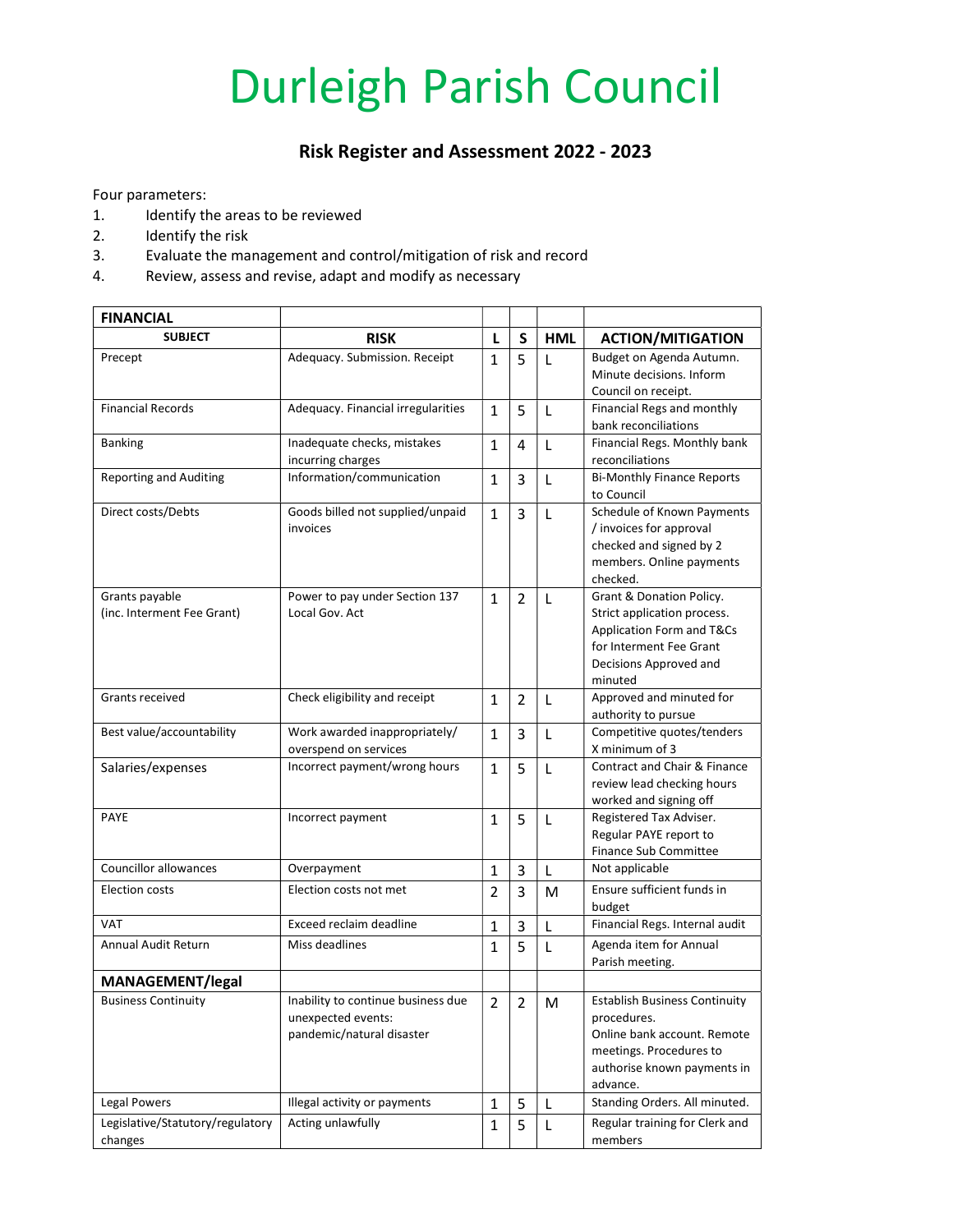## Durleigh Parish Council

## Risk Register and Assessment 2022 - 2023

Four parameters:

- 1. Identify the areas to be reviewed
- 2. Identify the risk
- 3. Evaluate the management and control/mitigation of risk and record
- 4. Review, assess and revise, adapt and modify as necessary

| <b>FINANCIAL</b>                 |                                    |                |                |              |                                                        |
|----------------------------------|------------------------------------|----------------|----------------|--------------|--------------------------------------------------------|
| <b>SUBJECT</b>                   | <b>RISK</b>                        | L              | S              | <b>HML</b>   | <b>ACTION/MITIGATION</b>                               |
| Precept                          | Adequacy. Submission. Receipt      | $\mathbf{1}$   | 5              | L            | Budget on Agenda Autumn.                               |
|                                  |                                    |                |                |              | Minute decisions. Inform<br>Council on receipt.        |
| <b>Financial Records</b>         | Adequacy. Financial irregularities | 1              | 5              |              | Financial Regs and monthly                             |
|                                  |                                    |                |                | L            | bank reconciliations                                   |
| <b>Banking</b>                   | Inadequate checks, mistakes        | $\mathbf{1}$   | 4              | $\mathsf{L}$ | Financial Regs. Monthly bank                           |
|                                  | incurring charges                  |                |                |              | reconciliations                                        |
| <b>Reporting and Auditing</b>    | Information/communication          | 1              | 3              | L            | <b>Bi-Monthly Finance Reports</b>                      |
|                                  |                                    |                |                |              | to Council                                             |
| Direct costs/Debts               | Goods billed not supplied/unpaid   | 1              | 3              | L            | Schedule of Known Payments                             |
|                                  | invoices                           |                |                |              | / invoices for approval                                |
|                                  |                                    |                |                |              | checked and signed by 2<br>members. Online payments    |
|                                  |                                    |                |                |              | checked.                                               |
| Grants payable                   | Power to pay under Section 137     | 1              | $\overline{2}$ | L            | Grant & Donation Policy.                               |
| (inc. Interment Fee Grant)       | Local Gov. Act                     |                |                |              | Strict application process.                            |
|                                  |                                    |                |                |              | Application Form and T&Cs                              |
|                                  |                                    |                |                |              | for Interment Fee Grant                                |
|                                  |                                    |                |                |              | Decisions Approved and                                 |
|                                  |                                    |                |                |              | minuted                                                |
| Grants received                  | Check eligibility and receipt      | 1              | 2              | L            | Approved and minuted for<br>authority to pursue        |
| Best value/accountability        | Work awarded inappropriately/      | $\mathbf{1}$   | 3              | L            | Competitive quotes/tenders                             |
|                                  | overspend on services              |                |                |              | X minimum of 3                                         |
| Salaries/expenses                | Incorrect payment/wrong hours      | 1              | 5              | L            | Contract and Chair & Finance                           |
|                                  |                                    |                |                |              | review lead checking hours                             |
|                                  |                                    |                |                |              | worked and signing off                                 |
| <b>PAYE</b>                      | Incorrect payment                  | 1              | 5              | L            | Registered Tax Adviser.<br>Regular PAYE report to      |
|                                  |                                    |                |                |              | Finance Sub Committee                                  |
| Councillor allowances            | Overpayment                        | 1              | 3              | L            | Not applicable                                         |
| <b>Election costs</b>            | Election costs not met             | $\overline{2}$ | 3              | м            | Ensure sufficient funds in                             |
|                                  |                                    |                |                |              | budget                                                 |
| <b>VAT</b>                       | Exceed reclaim deadline            | 1              | 3              | L            | Financial Regs. Internal audit                         |
| Annual Audit Return              | Miss deadlines                     | 1              | 5              | L            | Agenda item for Annual                                 |
|                                  |                                    |                |                |              | Parish meeting.                                        |
| <b>MANAGEMENT/legal</b>          |                                    |                |                |              |                                                        |
| <b>Business Continuity</b>       | Inability to continue business due | $\mathbf 2$    | $\overline{2}$ | ${\sf M}$    | <b>Establish Business Continuity</b>                   |
|                                  | unexpected events:                 |                |                |              | procedures.                                            |
|                                  | pandemic/natural disaster          |                |                |              | Online bank account. Remote                            |
|                                  |                                    |                |                |              | meetings. Procedures to<br>authorise known payments in |
|                                  |                                    |                |                |              | advance.                                               |
| <b>Legal Powers</b>              | Illegal activity or payments       | 1              | 5              | L            | Standing Orders. All minuted.                          |
| Legislative/Statutory/regulatory | Acting unlawfully                  | $\mathbf{1}$   | 5              | L            | Regular training for Clerk and                         |
| changes                          |                                    |                |                |              | members                                                |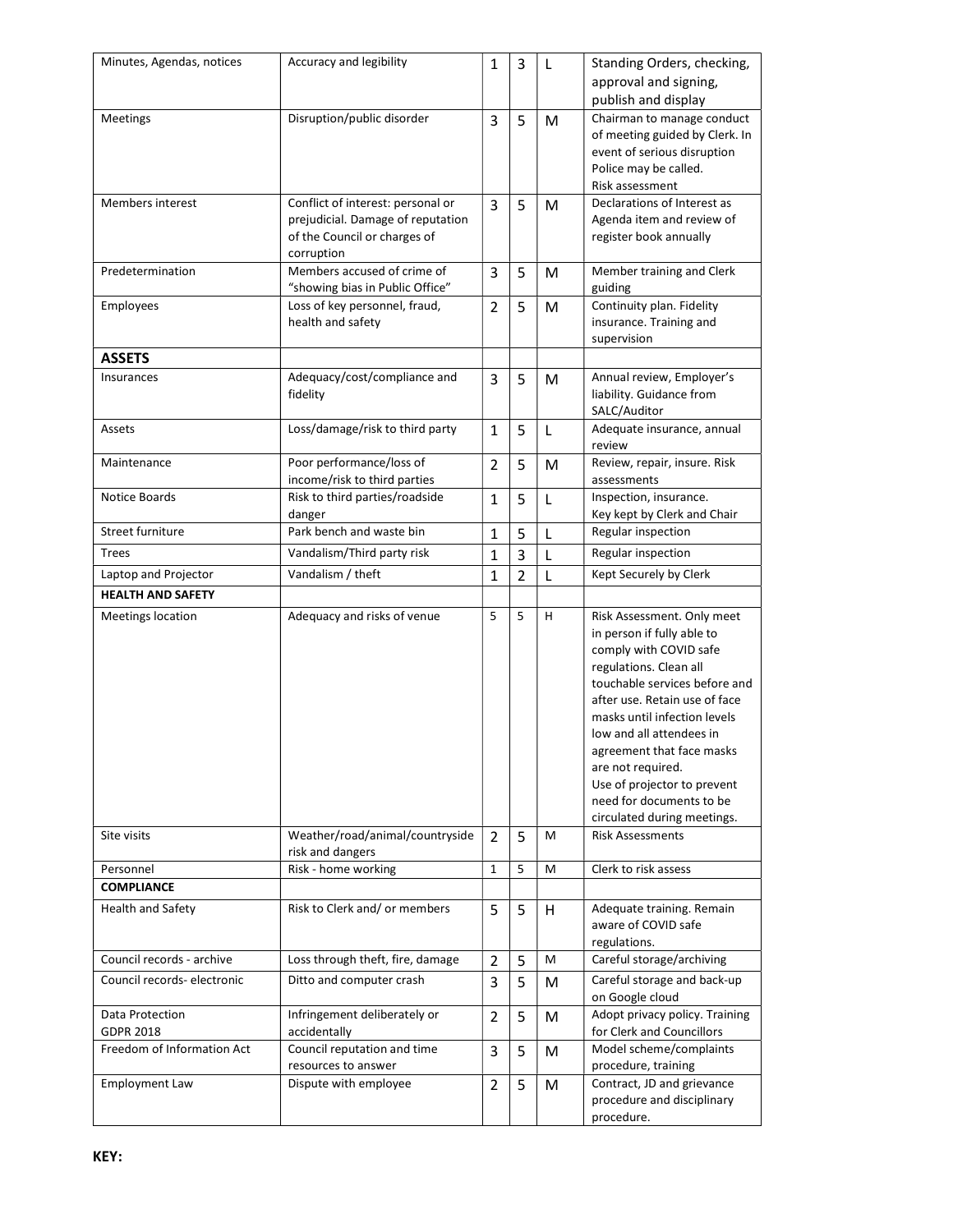| Minutes, Agendas, notices   | Accuracy and legibility           | $\mathbf{1}$   | 3              | L | Standing Orders, checking,                               |
|-----------------------------|-----------------------------------|----------------|----------------|---|----------------------------------------------------------|
|                             |                                   |                |                |   | approval and signing,                                    |
|                             |                                   |                |                |   | publish and display                                      |
| Meetings                    | Disruption/public disorder        | 3              | 5              | M | Chairman to manage conduct                               |
|                             |                                   |                |                |   | of meeting guided by Clerk. In                           |
|                             |                                   |                |                |   | event of serious disruption                              |
|                             |                                   |                |                |   | Police may be called.                                    |
|                             |                                   |                |                |   | Risk assessment                                          |
| Members interest            | Conflict of interest: personal or | 3              | 5              | M | Declarations of Interest as                              |
|                             | prejudicial. Damage of reputation |                |                |   | Agenda item and review of                                |
|                             | of the Council or charges of      |                |                |   | register book annually                                   |
|                             | corruption                        |                |                |   |                                                          |
| Predetermination            | Members accused of crime of       | 3              | 5              | М | Member training and Clerk                                |
|                             | "showing bias in Public Office"   |                |                |   | guiding                                                  |
| Employees                   | Loss of key personnel, fraud,     | $\overline{2}$ | 5              | M | Continuity plan. Fidelity                                |
|                             | health and safety                 |                |                |   | insurance. Training and                                  |
|                             |                                   |                |                |   | supervision                                              |
| <b>ASSETS</b>               |                                   |                |                |   |                                                          |
| Insurances                  | Adequacy/cost/compliance and      | 3              | 5              | M | Annual review, Employer's                                |
|                             | fidelity                          |                |                |   | liability. Guidance from                                 |
|                             |                                   |                |                |   | SALC/Auditor                                             |
| Assets                      | Loss/damage/risk to third party   | $\mathbf{1}$   | 5              | L | Adequate insurance, annual<br>review                     |
| Maintenance                 | Poor performance/loss of          | 2              | 5              | M | Review, repair, insure. Risk                             |
|                             | income/risk to third parties      |                |                |   | assessments                                              |
| Notice Boards               | Risk to third parties/roadside    | $\mathbf{1}$   | 5              | L | Inspection, insurance.                                   |
|                             | danger                            |                |                |   | Key kept by Clerk and Chair                              |
| Street furniture            | Park bench and waste bin          | $\mathbf{1}$   | 5              | L | Regular inspection                                       |
| Trees                       | Vandalism/Third party risk        | $\mathbf{1}$   | 3              | L | Regular inspection                                       |
| Laptop and Projector        | Vandalism / theft                 | $\mathbf{1}$   | $\overline{2}$ | L | Kept Securely by Clerk                                   |
| <b>HEALTH AND SAFETY</b>    |                                   |                |                |   |                                                          |
| Meetings location           | Adequacy and risks of venue       | 5              | 5              | H | Risk Assessment. Only meet                               |
|                             |                                   |                |                |   | in person if fully able to                               |
|                             |                                   |                |                |   | comply with COVID safe                                   |
|                             |                                   |                |                |   | regulations. Clean all                                   |
|                             |                                   |                |                |   | touchable services before and                            |
|                             |                                   |                |                |   | after use. Retain use of face                            |
|                             |                                   |                |                |   | masks until infection levels                             |
|                             |                                   |                |                |   | low and all attendees in                                 |
|                             |                                   |                |                |   | agreement that face masks                                |
|                             |                                   |                |                |   | are not required.                                        |
|                             |                                   |                |                |   | Use of projector to prevent                              |
|                             |                                   |                |                |   | need for documents to be                                 |
| Site visits                 | Weather/road/animal/countryside   |                |                | М | circulated during meetings.<br><b>Risk Assessments</b>   |
|                             | risk and dangers                  | 2              | 5              |   |                                                          |
| Personnel                   | Risk - home working               | $\mathbf{1}$   | 5              | M | Clerk to risk assess                                     |
| <b>COMPLIANCE</b>           |                                   |                |                |   |                                                          |
| Health and Safety           | Risk to Clerk and/ or members     | 5              | 5              | H | Adequate training. Remain                                |
|                             |                                   |                |                |   | aware of COVID safe                                      |
|                             |                                   |                |                |   | regulations.                                             |
| Council records - archive   | Loss through theft, fire, damage  | $\overline{2}$ | 5              | М | Careful storage/archiving                                |
| Council records- electronic | Ditto and computer crash          | 3              | 5              | M | Careful storage and back-up                              |
|                             |                                   |                |                |   | on Google cloud                                          |
| Data Protection             | Infringement deliberately or      | 2              | 5              | M | Adopt privacy policy. Training                           |
| <b>GDPR 2018</b>            | accidentally                      |                |                |   | for Clerk and Councillors                                |
| Freedom of Information Act  | Council reputation and time       | 3              | 5              | M | Model scheme/complaints                                  |
|                             | resources to answer               |                |                |   | procedure, training                                      |
| <b>Employment Law</b>       | Dispute with employee             | 2              | 5              | M | Contract, JD and grievance<br>procedure and disciplinary |
|                             |                                   |                |                |   | procedure.                                               |
|                             |                                   |                |                |   |                                                          |